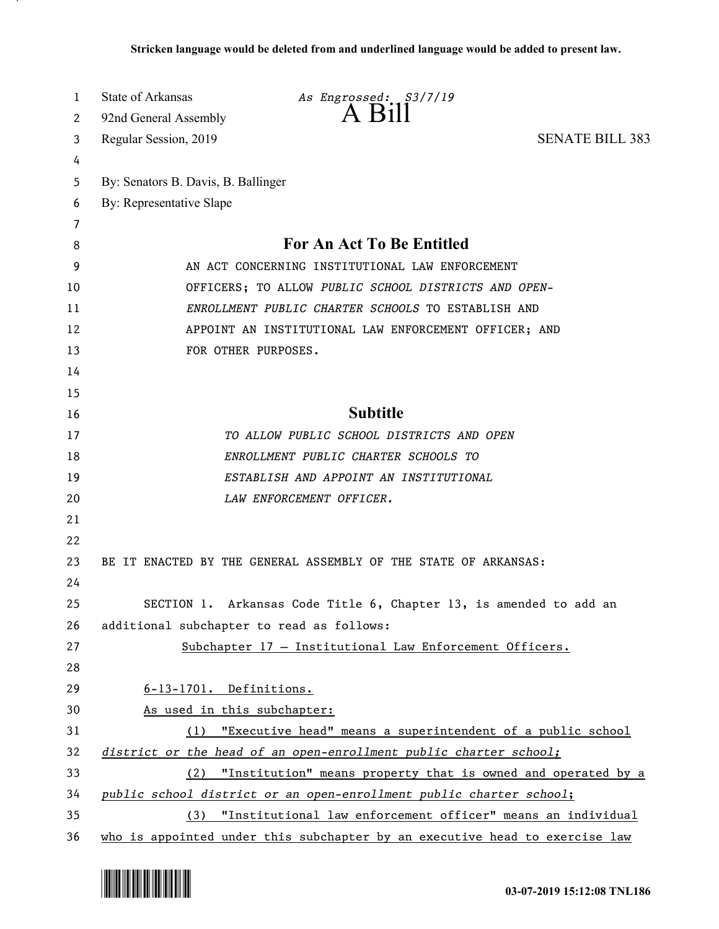| 1      | State of Arkansas<br>As Engrossed: S3/7/19<br>A Bill                        |  |
|--------|-----------------------------------------------------------------------------|--|
| 2      | 92nd General Assembly                                                       |  |
| 3      | <b>SENATE BILL 383</b><br>Regular Session, 2019                             |  |
| 4      |                                                                             |  |
| 5      | By: Senators B. Davis, B. Ballinger                                         |  |
| 6      | By: Representative Slape                                                    |  |
| 7<br>8 | <b>For An Act To Be Entitled</b>                                            |  |
| 9      | AN ACT CONCERNING INSTITUTIONAL LAW ENFORCEMENT                             |  |
| 10     | OFFICERS; TO ALLOW PUBLIC SCHOOL DISTRICTS AND OPEN-                        |  |
| 11     | ENROLLMENT PUBLIC CHARTER SCHOOLS TO ESTABLISH AND                          |  |
| 12     | APPOINT AN INSTITUTIONAL LAW ENFORCEMENT OFFICER; AND                       |  |
| 13     | FOR OTHER PURPOSES.                                                         |  |
| 14     |                                                                             |  |
| 15     |                                                                             |  |
| 16     | <b>Subtitle</b>                                                             |  |
| 17     | TO ALLOW PUBLIC SCHOOL DISTRICTS AND OPEN                                   |  |
| 18     | ENROLLMENT PUBLIC CHARTER SCHOOLS TO                                        |  |
| 19     | ESTABLISH AND APPOINT AN INSTITUTIONAL                                      |  |
| 20     | LAW ENFORCEMENT OFFICER.                                                    |  |
| 21     |                                                                             |  |
| 22     |                                                                             |  |
| 23     | BE IT ENACTED BY THE GENERAL ASSEMBLY OF THE STATE OF ARKANSAS:             |  |
| 24     |                                                                             |  |
| 25     | SECTION 1. Arkansas Code Title 6, Chapter 13, is amended to add an          |  |
| 26     | additional subchapter to read as follows:                                   |  |
| 27     | Subchapter 17 - Institutional Law Enforcement Officers.                     |  |
| 28     |                                                                             |  |
| 29     | 6-13-1701. Definitions.                                                     |  |
| 30     | As used in this subchapter:                                                 |  |
| 31     | (1) "Executive head" means a superintendent of a public school              |  |
| 32     | district or the head of an open-enrollment public charter school;           |  |
| 33     | (2) "Institution" means property that is owned and operated by a            |  |
| 34     | public school district or an open-enrollment public charter school;         |  |
| 35     | (3) "Institutional law enforcement officer" means an individual             |  |
| 36     | who is appointed under this subchapter by an executive head to exercise law |  |

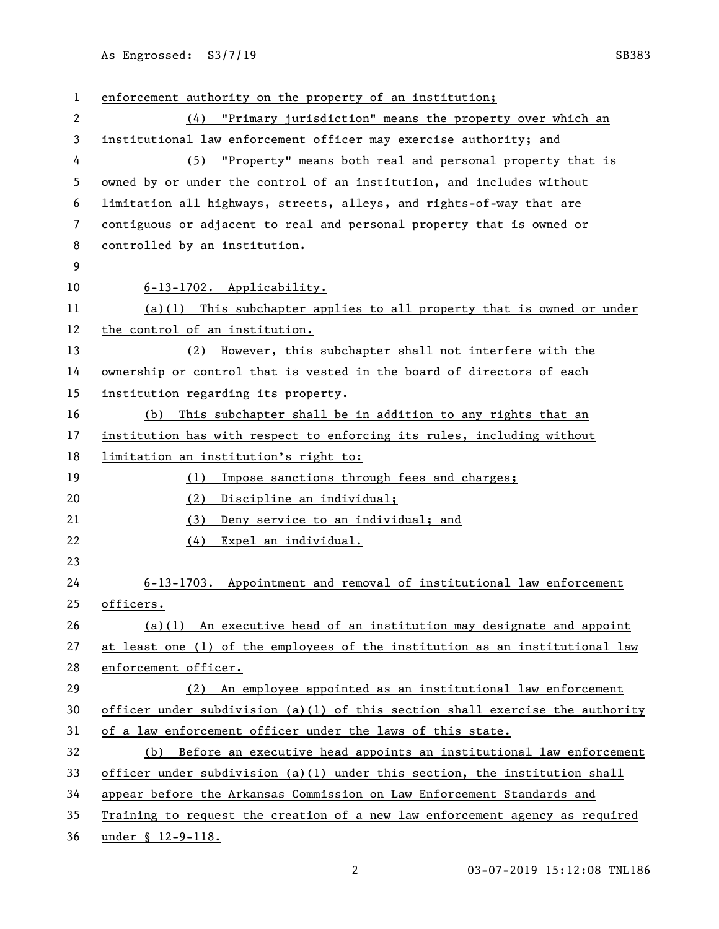As Engrossed: S3/7/19 SB383

 enforcement authority on the property of an institution; (4) "Primary jurisdiction" means the property over which an institutional law enforcement officer may exercise authority; and (5) "Property" means both real and personal property that is owned by or under the control of an institution, and includes without limitation all highways, streets, alleys, and rights-of-way that are contiguous or adjacent to real and personal property that is owned or controlled by an institution. 6-13-1702. Applicability. (a)(1) This subchapter applies to all property that is owned or under the control of an institution. (2) However, this subchapter shall not interfere with the 14 ownership or control that is vested in the board of directors of each institution regarding its property. (b) This subchapter shall be in addition to any rights that an institution has with respect to enforcing its rules, including without limitation an institution's right to: (1) Impose sanctions through fees and charges; (2) Discipline an individual; (3) Deny service to an individual; and (4) Expel an individual. 6-13-1703. Appointment and removal of institutional law enforcement officers. (a)(1) An executive head of an institution may designate and appoint at least one (1) of the employees of the institution as an institutional law enforcement officer. (2) An employee appointed as an institutional law enforcement 30 officer under subdivision (a)(1) of this section shall exercise the authority of a law enforcement officer under the laws of this state. (b) Before an executive head appoints an institutional law enforcement officer under subdivision (a)(1) under this section, the institution shall appear before the Arkansas Commission on Law Enforcement Standards and Training to request the creation of a new law enforcement agency as required under § 12-9-118.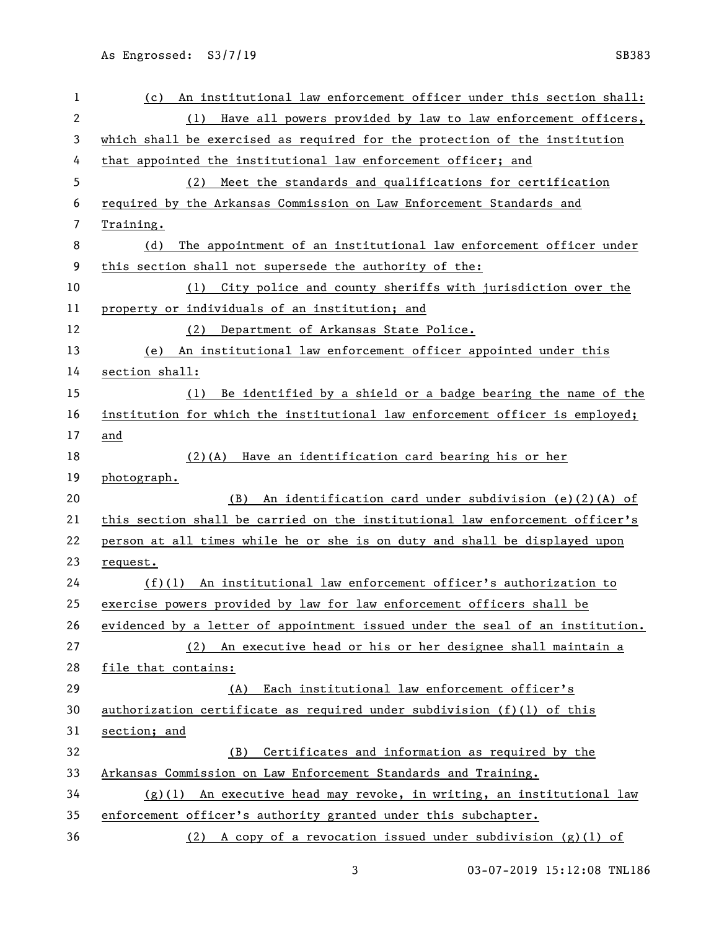| 1              | An institutional law enforcement officer under this section shall:<br>(c)     |
|----------------|-------------------------------------------------------------------------------|
| $\overline{2}$ | Have all powers provided by law to law enforcement officers,<br>(1)           |
| 3              | which shall be exercised as required for the protection of the institution    |
| 4              | that appointed the institutional law enforcement officer; and                 |
| 5              | Meet the standards and qualifications for certification<br>(2)                |
| 6              | required by the Arkansas Commission on Law Enforcement Standards and          |
| 7              | Training.                                                                     |
| 8              | The appointment of an institutional law enforcement officer under<br>(d)      |
| 9              | this section shall not supersede the authority of the:                        |
| 10             | City police and county sheriffs with jurisdiction over the<br>(1)             |
| 11             | property or individuals of an institution; and                                |
| 12             | Department of Arkansas State Police.<br>(2)                                   |
| 13             | An institutional law enforcement officer appointed under this<br>(e)          |
| 14             | section shall:                                                                |
| 15             | Be identified by a shield or a badge bearing the name of the<br>(1)           |
| 16             | institution for which the institutional law enforcement officer is employed;  |
| 17             | and                                                                           |
| 18             | $(2)(A)$ Have an identification card bearing his or her                       |
| 19             | photograph.                                                                   |
| 20             | An identification card under subdivision (e)(2)(A) of<br>(B)                  |
| 21             | this section shall be carried on the institutional law enforcement officer's  |
| 22             | person at all times while he or she is on duty and shall be displayed upon    |
| 23             | request.                                                                      |
| 24             | $(f)(1)$ An institutional law enforcement officer's authorization to          |
| 25             | exercise powers provided by law for law enforcement officers shall be         |
| 26             | evidenced by a letter of appointment issued under the seal of an institution. |
| 27             | (2) An executive head or his or her designee shall maintain a                 |
| 28             | file that contains:                                                           |
| 29             | Each institutional law enforcement officer's<br>(A)                           |
| 30             | authorization certificate as required under subdivision $(f)(1)$ of this      |
| 31             | section; and                                                                  |
| 32             | Certificates and information as required by the<br>(B)                        |
| 33             | Arkansas Commission on Law Enforcement Standards and Training.                |
| 34             | $(g)(1)$ An executive head may revoke, in writing, an institutional law       |
| 35             |                                                                               |
|                | enforcement officer's authority granted under this subchapter.                |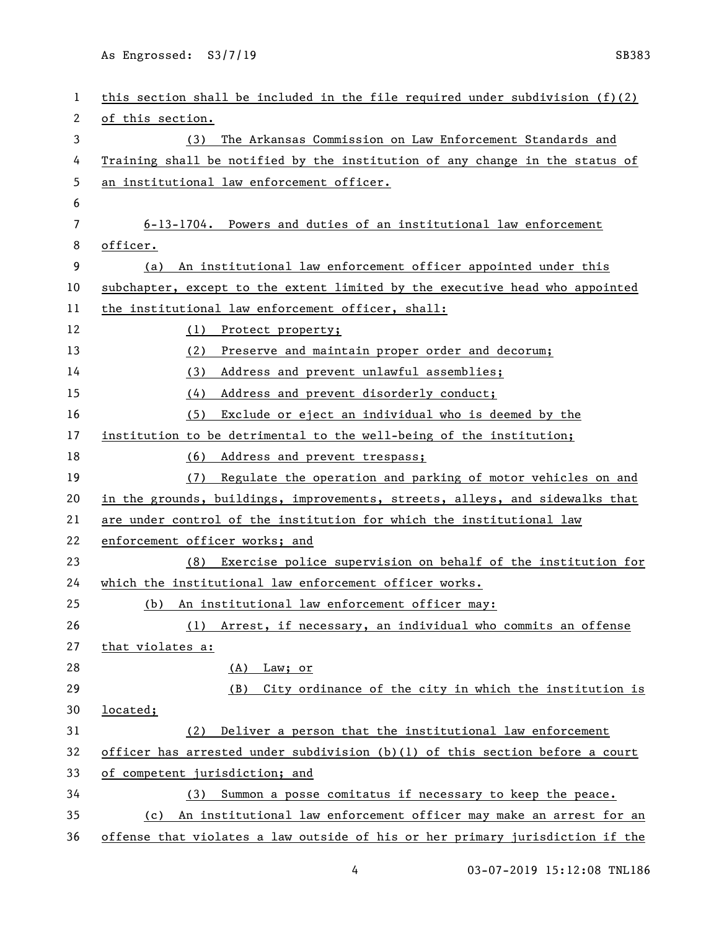As Engrossed: S3/7/19 SB383

| 1  | this section shall be included in the file required under subdivision $(f)(2)$ |
|----|--------------------------------------------------------------------------------|
| 2  | of this section.                                                               |
| 3  | The Arkansas Commission on Law Enforcement Standards and<br>(3)                |
| 4  | Training shall be notified by the institution of any change in the status of   |
| 5  | an institutional law enforcement officer.                                      |
| 6  |                                                                                |
| 7  | 6-13-1704. Powers and duties of an institutional law enforcement               |
| 8  | officer.                                                                       |
| 9  | An institutional law enforcement officer appointed under this<br>(a)           |
| 10 | subchapter, except to the extent limited by the executive head who appointed   |
| 11 | the institutional law enforcement officer, shall:                              |
| 12 | (1) Protect property;                                                          |
| 13 | Preserve and maintain proper order and decorum;<br>(2)                         |
| 14 | (3)<br>Address and prevent unlawful assemblies;                                |
| 15 | Address and prevent disorderly conduct;<br>(4)                                 |
| 16 | Exclude or eject an individual who is deemed by the<br>(5)                     |
| 17 | institution to be detrimental to the well-being of the institution;            |
| 18 | (6)<br>Address and prevent trespass;                                           |
| 19 | Regulate the operation and parking of motor vehicles on and<br>(7)             |
| 20 | in the grounds, buildings, improvements, streets, alleys, and sidewalks that   |
| 21 | are under control of the institution for which the institutional law           |
| 22 | enforcement officer works; and                                                 |
| 23 | Exercise police supervision on behalf of the institution for<br>(8)            |
| 24 | which the institutional law enforcement officer works.                         |
| 25 | (b) An institutional law enforcement officer may:                              |
| 26 | Arrest, if necessary, an individual who commits an offense<br>(1)              |
| 27 | that violates a:                                                               |
| 28 | Law; or<br>(A)                                                                 |
| 29 | City ordinance of the city in which the institution is<br>(B)                  |
| 30 | located;                                                                       |
| 31 | Deliver a person that the institutional law enforcement<br>(2)                 |
| 32 | officer has arrested under subdivision (b)(l) of this section before a court   |
| 33 | of competent jurisdiction; and                                                 |
| 34 | Summon a posse comitatus if necessary to keep the peace.<br>(3)                |
| 35 | An institutional law enforcement officer may make an arrest for an<br>(c)      |
| 36 | offense that violates a law outside of his or her primary jurisdiction if the  |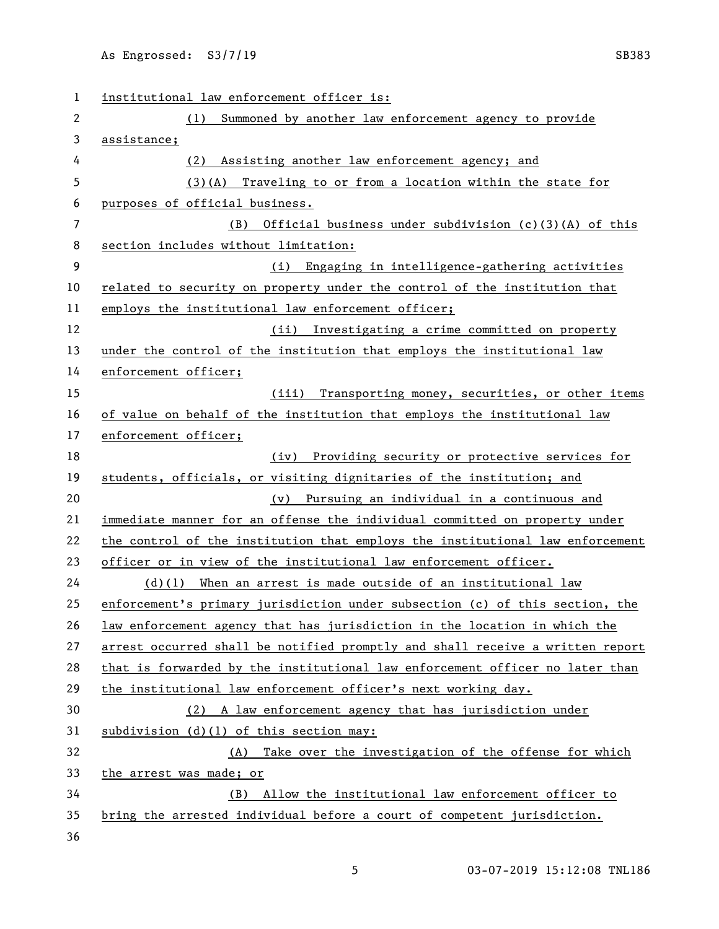| 1  | institutional law enforcement officer is:                                     |
|----|-------------------------------------------------------------------------------|
| 2  | Summoned by another law enforcement agency to provide<br>(1)                  |
| 3  | assistance;                                                                   |
| 4  | (2) Assisting another law enforcement agency; and                             |
| 5  | $(3)(A)$ Traveling to or from a location within the state for                 |
| 6  | purposes of official business.                                                |
| 7  | Official business under subdivision (c)(3)(A) of this<br>(B)                  |
| 8  | section includes without limitation:                                          |
| 9  | Engaging in intelligence-gathering activities<br>(i)                          |
| 10 | related to security on property under the control of the institution that     |
| 11 | employs the institutional law enforcement officer;                            |
| 12 | Investigating a crime committed on property<br>(ii)                           |
| 13 | under the control of the institution that employs the institutional law       |
| 14 | enforcement officer;                                                          |
| 15 | Transporting money, securities, or other items<br>(iii)                       |
| 16 | of value on behalf of the institution that employs the institutional law      |
| 17 | enforcement officer;                                                          |
| 18 | (iv) Providing security or protective services for                            |
| 19 | students, officials, or visiting dignitaries of the institution; and          |
| 20 | (v) Pursuing an individual in a continuous and                                |
| 21 | immediate manner for an offense the individual committed on property under    |
| 22 | the control of the institution that employs the institutional law enforcement |
| 23 | officer or in view of the institutional law enforcement officer.              |
| 24 | $(d)(1)$ When an arrest is made outside of an institutional law               |
| 25 | enforcement's primary jurisdiction under subsection (c) of this section, the  |
| 26 | law enforcement agency that has jurisdiction in the location in which the     |
| 27 | arrest occurred shall be notified promptly and shall receive a written report |
| 28 | that is forwarded by the institutional law enforcement officer no later than  |
| 29 | the institutional law enforcement officer's next working day.                 |
| 30 | (2) A law enforcement agency that has jurisdiction under                      |
| 31 | subdivision (d)(1) of this section may:                                       |
| 32 | Take over the investigation of the offense for which<br>(A)                   |
| 33 | the arrest was made; or                                                       |
| 34 | Allow the institutional law enforcement officer to<br>(B)                     |
| 35 | bring the arrested individual before a court of competent jurisdiction.       |
| 36 |                                                                               |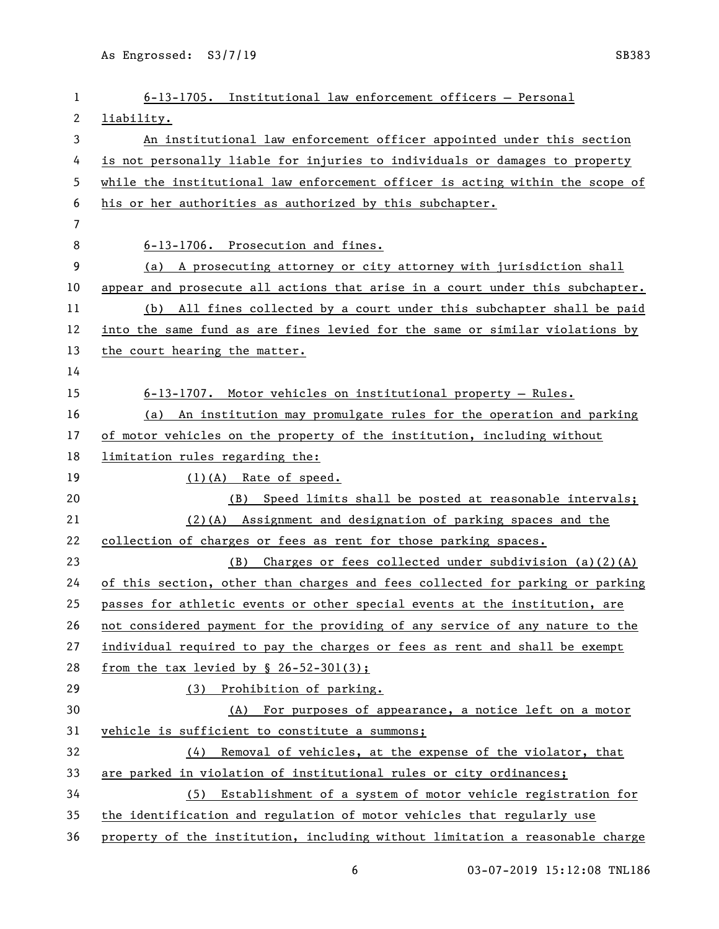| 1  | 6-13-1705. Institutional law enforcement officers - Personal                  |
|----|-------------------------------------------------------------------------------|
| 2  | liability.                                                                    |
| 3  | An institutional law enforcement officer appointed under this section         |
| 4  | is not personally liable for injuries to individuals or damages to property   |
| 5  | while the institutional law enforcement officer is acting within the scope of |
| 6  | his or her authorities as authorized by this subchapter.                      |
| 7  |                                                                               |
| 8  | 6-13-1706. Prosecution and fines.                                             |
| 9  | (a) A prosecuting attorney or city attorney with jurisdiction shall           |
| 10 | appear and prosecute all actions that arise in a court under this subchapter. |
| 11 | (b) All fines collected by a court under this subchapter shall be paid        |
| 12 | into the same fund as are fines levied for the same or similar violations by  |
| 13 | the court hearing the matter.                                                 |
| 14 |                                                                               |
| 15 | $6-13-1707$ . Motor vehicles on institutional property - Rules.               |
| 16 | (a) An institution may promulgate rules for the operation and parking         |
| 17 | of motor vehicles on the property of the institution, including without       |
| 18 | limitation rules regarding the:                                               |
| 19 | $(1)(A)$ Rate of speed.                                                       |
| 20 | Speed limits shall be posted at reasonable intervals;<br>(B)                  |
| 21 | $(2)$ (A) Assignment and designation of parking spaces and the                |
| 22 | collection of charges or fees as rent for those parking spaces.               |
| 23 | $(B)$ Charges or fees collected under subdivision (a)(2)(A)                   |
| 24 | of this section, other than charges and fees collected for parking or parking |
| 25 | passes for athletic events or other special events at the institution, are    |
| 26 | not considered payment for the providing of any service of any nature to the  |
| 27 | individual required to pay the charges or fees as rent and shall be exempt    |
| 28 | from the tax levied by $\S$ 26-52-301(3);                                     |
| 29 | (3) Prohibition of parking.                                                   |
| 30 | (A) For purposes of appearance, a notice left on a motor                      |
| 31 | vehicle is sufficient to constitute a summons;                                |
| 32 | Removal of vehicles, at the expense of the violator, that<br>(4)              |
| 33 | are parked in violation of institutional rules or city ordinances;            |
| 34 | (5) Establishment of a system of motor vehicle registration for               |
| 35 | the identification and regulation of motor vehicles that regularly use        |
| 36 | property of the institution, including without limitation a reasonable charge |